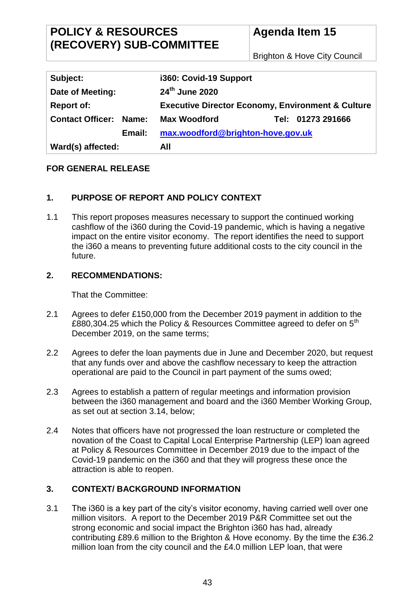# **POLICY & RESOURCES (RECOVERY) SUB-COMMITTEE**

Brighton & Hove City Council

| Subject:                      | i360: Covid-19 Support                                       |
|-------------------------------|--------------------------------------------------------------|
| Date of Meeting:              | 24th June 2020                                               |
| <b>Report of:</b>             | <b>Executive Director Economy, Environment &amp; Culture</b> |
| <b>Contact Officer: Name:</b> | Tel: 01273 291666<br><b>Max Woodford</b>                     |
| Email:                        | max.woodford@brighton-hove.gov.uk                            |
| Ward(s) affected:             | All                                                          |

# **FOR GENERAL RELEASE**

# **1. PURPOSE OF REPORT AND POLICY CONTEXT**

1.1 This report proposes measures necessary to support the continued working cashflow of the i360 during the Covid-19 pandemic, which is having a negative impact on the entire visitor economy. The report identifies the need to support the i360 a means to preventing future additional costs to the city council in the future.

## **2. RECOMMENDATIONS:**

That the Committee:

- 2.1 Agrees to defer £150,000 from the December 2019 payment in addition to the £880,304.25 which the Policy & Resources Committee agreed to defer on 5<sup>th</sup> December 2019, on the same terms;
- 2.2 Agrees to defer the loan payments due in June and December 2020, but request that any funds over and above the cashflow necessary to keep the attraction operational are paid to the Council in part payment of the sums owed;
- 2.3 Agrees to establish a pattern of regular meetings and information provision between the i360 management and board and the i360 Member Working Group, as set out at section 3.14, below;
- 2.4 Notes that officers have not progressed the loan restructure or completed the novation of the Coast to Capital Local Enterprise Partnership (LEP) loan agreed at Policy & Resources Committee in December 2019 due to the impact of the Covid-19 pandemic on the i360 and that they will progress these once the attraction is able to reopen.

# **3. CONTEXT/ BACKGROUND INFORMATION**

3.1 The i360 is a key part of the city's visitor economy, having carried well over one million visitors. A report to the December 2019 P&R Committee set out the strong economic and social impact the Brighton i360 has had, already contributing £89.6 million to the Brighton & Hove economy. By the time the £36.2 million loan from the city council and the £4.0 million LEP loan, that were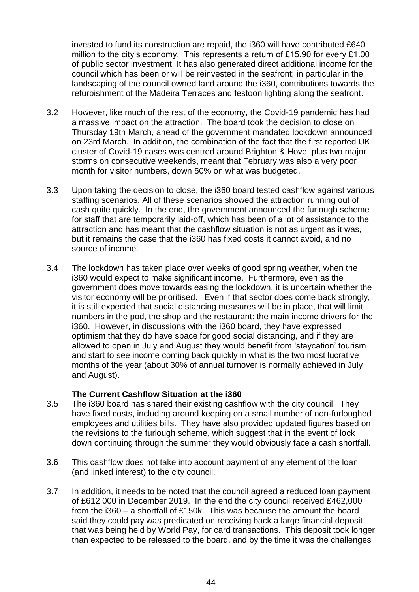invested to fund its construction are repaid, the i360 will have contributed £640 million to the city's economy. This represents a return of £15.90 for every £1.00 of public sector investment. It has also generated direct additional income for the council which has been or will be reinvested in the seafront; in particular in the landscaping of the council owned land around the i360, contributions towards the refurbishment of the Madeira Terraces and festoon lighting along the seafront.

- 3.2 However, like much of the rest of the economy, the Covid-19 pandemic has had a massive impact on the attraction. The board took the decision to close on Thursday 19th March, ahead of the government mandated lockdown announced on 23rd March. In addition, the combination of the fact that the first reported UK cluster of Covid-19 cases was centred around Brighton & Hove, plus two major storms on consecutive weekends, meant that February was also a very poor month for visitor numbers, down 50% on what was budgeted.
- 3.3 Upon taking the decision to close, the i360 board tested cashflow against various staffing scenarios. All of these scenarios showed the attraction running out of cash quite quickly. In the end, the government announced the furlough scheme for staff that are temporarily laid-off, which has been of a lot of assistance to the attraction and has meant that the cashflow situation is not as urgent as it was, but it remains the case that the i360 has fixed costs it cannot avoid, and no source of income.
- 3.4 The lockdown has taken place over weeks of good spring weather, when the i360 would expect to make significant income. Furthermore, even as the government does move towards easing the lockdown, it is uncertain whether the visitor economy will be prioritised. Even if that sector does come back strongly, it is still expected that social distancing measures will be in place, that will limit numbers in the pod, the shop and the restaurant: the main income drivers for the i360. However, in discussions with the i360 board, they have expressed optimism that they do have space for good social distancing, and if they are allowed to open in July and August they would benefit from 'staycation' tourism and start to see income coming back quickly in what is the two most lucrative months of the year (about 30% of annual turnover is normally achieved in July and August).

## **The Current Cashflow Situation at the i360**

- 3.5 The i360 board has shared their existing cashflow with the city council. They have fixed costs, including around keeping on a small number of non-furloughed employees and utilities bills. They have also provided updated figures based on the revisions to the furlough scheme, which suggest that in the event of lock down continuing through the summer they would obviously face a cash shortfall.
- 3.6 This cashflow does not take into account payment of any element of the loan (and linked interest) to the city council.
- 3.7 In addition, it needs to be noted that the council agreed a reduced loan payment of £612,000 in December 2019. In the end the city council received £462,000 from the i360 – a shortfall of £150k. This was because the amount the board said they could pay was predicated on receiving back a large financial deposit that was being held by World Pay, for card transactions. This deposit took longer than expected to be released to the board, and by the time it was the challenges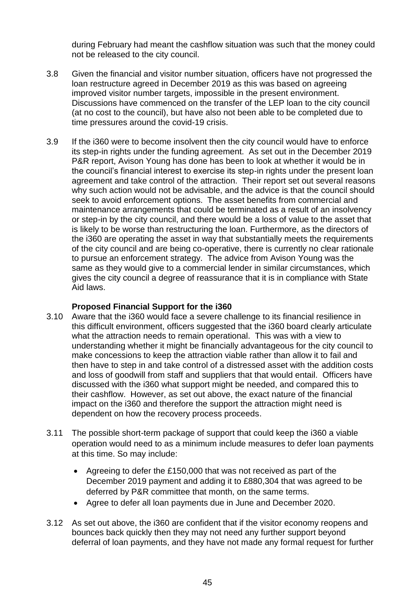during February had meant the cashflow situation was such that the money could not be released to the city council.

- 3.8 Given the financial and visitor number situation, officers have not progressed the loan restructure agreed in December 2019 as this was based on agreeing improved visitor number targets, impossible in the present environment. Discussions have commenced on the transfer of the LEP loan to the city council (at no cost to the council), but have also not been able to be completed due to time pressures around the covid-19 crisis.
- 3.9 If the i360 were to become insolvent then the city council would have to enforce its step-in rights under the funding agreement. As set out in the December 2019 P&R report, Avison Young has done has been to look at whether it would be in the council's financial interest to exercise its step-in rights under the present loan agreement and take control of the attraction. Their report set out several reasons why such action would not be advisable, and the advice is that the council should seek to avoid enforcement options. The asset benefits from commercial and maintenance arrangements that could be terminated as a result of an insolvency or step-in by the city council, and there would be a loss of value to the asset that is likely to be worse than restructuring the loan. Furthermore, as the directors of the i360 are operating the asset in way that substantially meets the requirements of the city council and are being co-operative, there is currently no clear rationale to pursue an enforcement strategy. The advice from Avison Young was the same as they would give to a commercial lender in similar circumstances, which gives the city council a degree of reassurance that it is in compliance with State Aid laws.

## **Proposed Financial Support for the i360**

- 3.10 Aware that the i360 would face a severe challenge to its financial resilience in this difficult environment, officers suggested that the i360 board clearly articulate what the attraction needs to remain operational. This was with a view to understanding whether it might be financially advantageous for the city council to make concessions to keep the attraction viable rather than allow it to fail and then have to step in and take control of a distressed asset with the addition costs and loss of goodwill from staff and suppliers that that would entail. Officers have discussed with the i360 what support might be needed, and compared this to their cashflow. However, as set out above, the exact nature of the financial impact on the i360 and therefore the support the attraction might need is dependent on how the recovery process proceeds.
- 3.11 The possible short-term package of support that could keep the i360 a viable operation would need to as a minimum include measures to defer loan payments at this time. So may include:
	- Agreeing to defer the £150,000 that was not received as part of the December 2019 payment and adding it to £880,304 that was agreed to be deferred by P&R committee that month, on the same terms.
	- Agree to defer all loan payments due in June and December 2020.
- 3.12 As set out above, the i360 are confident that if the visitor economy reopens and bounces back quickly then they may not need any further support beyond deferral of loan payments, and they have not made any formal request for further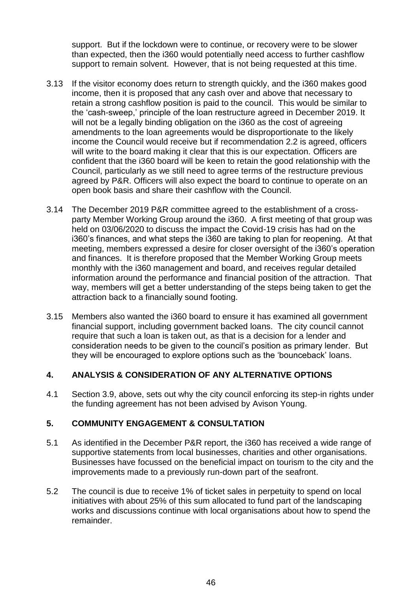support. But if the lockdown were to continue, or recovery were to be slower than expected, then the i360 would potentially need access to further cashflow support to remain solvent. However, that is not being requested at this time.

- 3.13 If the visitor economy does return to strength quickly, and the i360 makes good income, then it is proposed that any cash over and above that necessary to retain a strong cashflow position is paid to the council. This would be similar to the 'cash-sweep,' principle of the loan restructure agreed in December 2019. It will not be a legally binding obligation on the i360 as the cost of agreeing amendments to the loan agreements would be disproportionate to the likely income the Council would receive but if recommendation 2.2 is agreed, officers will write to the board making it clear that this is our expectation. Officers are confident that the i360 board will be keen to retain the good relationship with the Council, particularly as we still need to agree terms of the restructure previous agreed by P&R. Officers will also expect the board to continue to operate on an open book basis and share their cashflow with the Council.
- 3.14 The December 2019 P&R committee agreed to the establishment of a crossparty Member Working Group around the i360. A first meeting of that group was held on 03/06/2020 to discuss the impact the Covid-19 crisis has had on the i360's finances, and what steps the i360 are taking to plan for reopening. At that meeting, members expressed a desire for closer oversight of the i360's operation and finances. It is therefore proposed that the Member Working Group meets monthly with the i360 management and board, and receives regular detailed information around the performance and financial position of the attraction. That way, members will get a better understanding of the steps being taken to get the attraction back to a financially sound footing.
- 3.15 Members also wanted the i360 board to ensure it has examined all government financial support, including government backed loans. The city council cannot require that such a loan is taken out, as that is a decision for a lender and consideration needs to be given to the council's position as primary lender. But they will be encouraged to explore options such as the 'bounceback' loans.

# **4. ANALYSIS & CONSIDERATION OF ANY ALTERNATIVE OPTIONS**

4.1 Section 3.9, above, sets out why the city council enforcing its step-in rights under the funding agreement has not been advised by Avison Young.

# **5. COMMUNITY ENGAGEMENT & CONSULTATION**

- 5.1 As identified in the December P&R report, the i360 has received a wide range of supportive statements from local businesses, charities and other organisations. Businesses have focussed on the beneficial impact on tourism to the city and the improvements made to a previously run-down part of the seafront.
- 5.2 The council is due to receive 1% of ticket sales in perpetuity to spend on local initiatives with about 25% of this sum allocated to fund part of the landscaping works and discussions continue with local organisations about how to spend the remainder.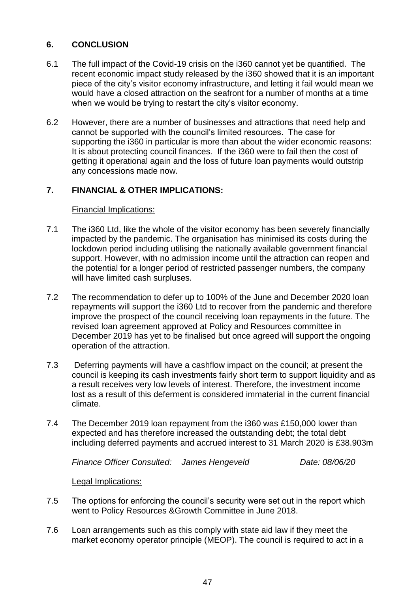# **6. CONCLUSION**

- 6.1 The full impact of the Covid-19 crisis on the i360 cannot yet be quantified. The recent economic impact study released by the i360 showed that it is an important piece of the city's visitor economy infrastructure, and letting it fail would mean we would have a closed attraction on the seafront for a number of months at a time when we would be trying to restart the city's visitor economy.
- 6.2 However, there are a number of businesses and attractions that need help and cannot be supported with the council's limited resources. The case for supporting the i360 in particular is more than about the wider economic reasons: It is about protecting council finances. If the i360 were to fail then the cost of getting it operational again and the loss of future loan payments would outstrip any concessions made now.

## **7. FINANCIAL & OTHER IMPLICATIONS:**

## Financial Implications:

- 7.1 The i360 Ltd, like the whole of the visitor economy has been severely financially impacted by the pandemic. The organisation has minimised its costs during the lockdown period including utilising the nationally available government financial support. However, with no admission income until the attraction can reopen and the potential for a longer period of restricted passenger numbers, the company will have limited cash surpluses.
- 7.2 The recommendation to defer up to 100% of the June and December 2020 loan repayments will support the i360 Ltd to recover from the pandemic and therefore improve the prospect of the council receiving loan repayments in the future. The revised loan agreement approved at Policy and Resources committee in December 2019 has yet to be finalised but once agreed will support the ongoing operation of the attraction.
- 7.3 Deferring payments will have a cashflow impact on the council; at present the council is keeping its cash investments fairly short term to support liquidity and as a result receives very low levels of interest. Therefore, the investment income lost as a result of this deferment is considered immaterial in the current financial climate.
- 7.4 The December 2019 loan repayment from the i360 was £150,000 lower than expected and has therefore increased the outstanding debt; the total debt including deferred payments and accrued interest to 31 March 2020 is £38.903m

*Finance Officer Consulted: James Hengeveld Date: 08/06/20*

Legal Implications:

- 7.5 The options for enforcing the council's security were set out in the report which went to Policy Resources &Growth Committee in June 2018.
- 7.6 Loan arrangements such as this comply with state aid law if they meet the market economy operator principle (MEOP). The council is required to act in a